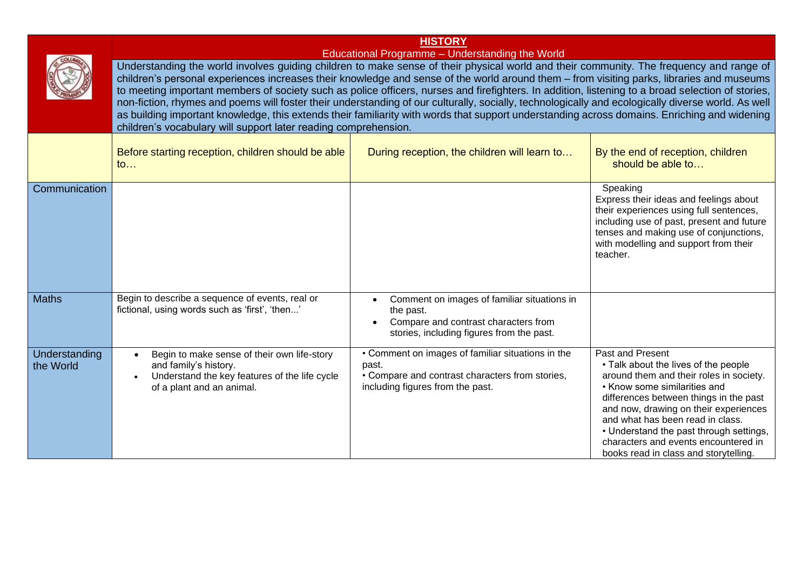|                            | <b>HISTORY</b>                                                                                                                                                                                                                                                                                                                                                                                                                                                                                                                                                                                                                                                                                                                                                                                                                                                        |                                                                                                                                                   |                                                                                                                                                                                                                                                                                                                                                                                        |
|----------------------------|-----------------------------------------------------------------------------------------------------------------------------------------------------------------------------------------------------------------------------------------------------------------------------------------------------------------------------------------------------------------------------------------------------------------------------------------------------------------------------------------------------------------------------------------------------------------------------------------------------------------------------------------------------------------------------------------------------------------------------------------------------------------------------------------------------------------------------------------------------------------------|---------------------------------------------------------------------------------------------------------------------------------------------------|----------------------------------------------------------------------------------------------------------------------------------------------------------------------------------------------------------------------------------------------------------------------------------------------------------------------------------------------------------------------------------------|
|                            | Educational Programme - Understanding the World<br>Understanding the world involves guiding children to make sense of their physical world and their community. The frequency and range of<br>children's personal experiences increases their knowledge and sense of the world around them – from visiting parks, libraries and museums<br>to meeting important members of society such as police officers, nurses and firefighters. In addition, listening to a broad selection of stories,<br>non-fiction, rhymes and poems will foster their understanding of our culturally, socially, technologically and ecologically diverse world. As well<br>as building important knowledge, this extends their familiarity with words that support understanding across domains. Enriching and widening<br>children's vocabulary will support later reading comprehension. |                                                                                                                                                   |                                                                                                                                                                                                                                                                                                                                                                                        |
|                            | Before starting reception, children should be able<br>to                                                                                                                                                                                                                                                                                                                                                                                                                                                                                                                                                                                                                                                                                                                                                                                                              | During reception, the children will learn to                                                                                                      | By the end of reception, children<br>should be able to                                                                                                                                                                                                                                                                                                                                 |
| Communication              |                                                                                                                                                                                                                                                                                                                                                                                                                                                                                                                                                                                                                                                                                                                                                                                                                                                                       |                                                                                                                                                   | Speaking<br>Express their ideas and feelings about<br>their experiences using full sentences,<br>including use of past, present and future<br>tenses and making use of conjunctions,<br>with modelling and support from their<br>teacher.                                                                                                                                              |
| <b>Maths</b>               | Begin to describe a sequence of events, real or<br>fictional, using words such as 'first', 'then'                                                                                                                                                                                                                                                                                                                                                                                                                                                                                                                                                                                                                                                                                                                                                                     | Comment on images of familiar situations in<br>the past.<br>Compare and contrast characters from<br>stories, including figures from the past.     |                                                                                                                                                                                                                                                                                                                                                                                        |
| Understanding<br>the World | Begin to make sense of their own life-story<br>$\bullet$<br>and family's history.<br>Understand the key features of the life cycle<br>of a plant and an animal.                                                                                                                                                                                                                                                                                                                                                                                                                                                                                                                                                                                                                                                                                                       | • Comment on images of familiar situations in the<br>past.<br>• Compare and contrast characters from stories,<br>including figures from the past. | Past and Present<br>• Talk about the lives of the people<br>around them and their roles in society.<br>• Know some similarities and<br>differences between things in the past<br>and now, drawing on their experiences<br>and what has been read in class.<br>• Understand the past through settings,<br>characters and events encountered in<br>books read in class and storytelling. |